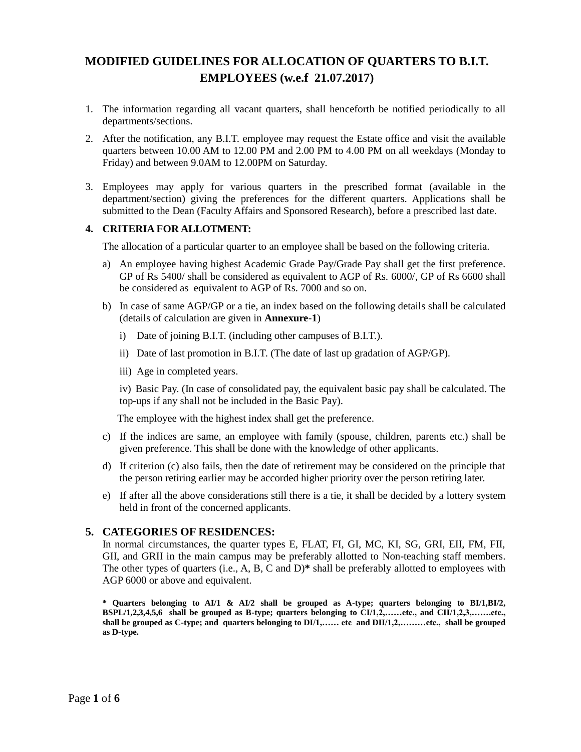# **MODIFIED GUIDELINES FOR ALLOCATION OF QUARTERS TO B.I.T. EMPLOYEES (w.e.f 21.07.2017)**

- 1. The information regarding all vacant quarters, shall henceforth be notified periodically to all departments/sections.
- 2. After the notification, any B.I.T. employee may request the Estate office and visit the available quarters between 10.00 AM to 12.00 PM and 2.00 PM to 4.00 PM on all weekdays (Monday to Friday) and between 9.0AM to 12.00PM on Saturday.
- 3. Employees may apply for various quarters in the prescribed format (available in the department/section) giving the preferences for the different quarters. Applications shall be submitted to the Dean (Faculty Affairs and Sponsored Research), before a prescribed last date.

## **4. CRITERIA FOR ALLOTMENT:**

The allocation of a particular quarter to an employee shall be based on the following criteria.

- a) An employee having highest Academic Grade Pay/Grade Pay shall get the first preference. GP of Rs 5400/ shall be considered as equivalent to AGP of Rs. 6000/, GP of Rs 6600 shall be considered as equivalent to AGP of Rs. 7000 and so on.
- b) In case of same AGP/GP or a tie, an index based on the following details shall be calculated (details of calculation are given in **Annexure-1**)
	- i) Date of joining B.I.T. (including other campuses of B.I.T.).
	- ii) Date of last promotion in B.I.T. (The date of last up gradation of AGP/GP).
	- iii) Age in completed years.

iv) Basic Pay. (In case of consolidated pay, the equivalent basic pay shall be calculated. The top-ups if any shall not be included in the Basic Pay).

The employee with the highest index shall get the preference.

- c) If the indices are same, an employee with family (spouse, children, parents etc.) shall be given preference. This shall be done with the knowledge of other applicants.
- d) If criterion (c) also fails, then the date of retirement may be considered on the principle that the person retiring earlier may be accorded higher priority over the person retiring later.
- e) If after all the above considerations still there is a tie, it shall be decided by a lottery system held in front of the concerned applicants.

## **5. CATEGORIES OF RESIDENCES:**

In normal circumstances, the quarter types E, FLAT, FI, GI, MC, KI, SG, GRI, EII, FM, FII, GII, and GRII in the main campus may be preferably allotted to Non-teaching staff members. The other types of quarters (i.e., A, B, C and D)**\*** shall be preferably allotted to employees with AGP 6000 or above and equivalent.

**\* Quarters belonging to AI/1 & AI/2 shall be grouped as A-type; quarters belonging to BI/1,BI/2, BSPL/1,2,3,4,5,6 shall be grouped as B-type; quarters belonging to CI/1,2,……etc., and CII/1,2,3,…….etc., shall be grouped as C-type; and quarters belonging to DI/1,…… etc and DII/1,2,………etc., shall be grouped as D-type.**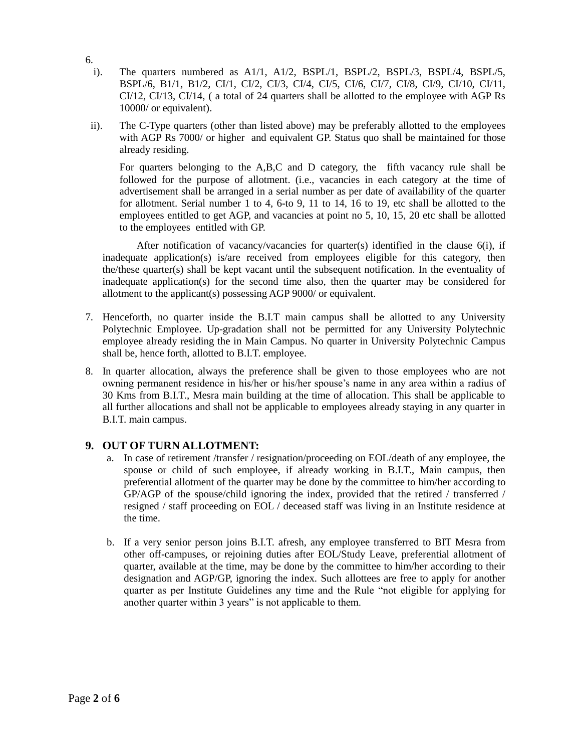- 6.
	- i). The quarters numbered as A1/1, A1/2, BSPL/1, BSPL/2, BSPL/3, BSPL/4, BSPL/5, BSPL/6, B1/1, B1/2, CI/1, CI/2, CI/3, CI/4, CI/5, CI/6, CI/7, CI/8, CI/9, CI/10, CI/11, CI/12, CI/13, CI/14, ( a total of 24 quarters shall be allotted to the employee with AGP Rs 10000/ or equivalent).
- ii). The C-Type quarters (other than listed above) may be preferably allotted to the employees with AGP Rs 7000/ or higher and equivalent GP. Status quo shall be maintained for those already residing.

For quarters belonging to the A,B,C and D category, the fifth vacancy rule shall be followed for the purpose of allotment. (i.e., vacancies in each category at the time of advertisement shall be arranged in a serial number as per date of availability of the quarter for allotment. Serial number 1 to 4, 6-to 9, 11 to 14, 16 to 19, etc shall be allotted to the employees entitled to get AGP, and vacancies at point no 5, 10, 15, 20 etc shall be allotted to the employees entitled with GP.

After notification of vacancy/vacancies for quarter(s) identified in the clause 6(i), if inadequate application(s) is/are received from employees eligible for this category, then the/these quarter(s) shall be kept vacant until the subsequent notification. In the eventuality of inadequate application(s) for the second time also, then the quarter may be considered for allotment to the applicant(s) possessing AGP 9000/ or equivalent.

- 7. Henceforth, no quarter inside the B.I.T main campus shall be allotted to any University Polytechnic Employee. Up-gradation shall not be permitted for any University Polytechnic employee already residing the in Main Campus. No quarter in University Polytechnic Campus shall be, hence forth, allotted to B.I.T. employee.
- 8. In quarter allocation, always the preference shall be given to those employees who are not owning permanent residence in his/her or his/her spouse's name in any area within a radius of 30 Kms from B.I.T., Mesra main building at the time of allocation. This shall be applicable to all further allocations and shall not be applicable to employees already staying in any quarter in B.I.T. main campus.

# **9. OUT OF TURN ALLOTMENT:**

- a. In case of retirement /transfer / resignation/proceeding on EOL/death of any employee, the spouse or child of such employee, if already working in B.I.T., Main campus, then preferential allotment of the quarter may be done by the committee to him/her according to GP/AGP of the spouse/child ignoring the index, provided that the retired / transferred / resigned / staff proceeding on EOL / deceased staff was living in an Institute residence at the time.
- b. If a very senior person joins B.I.T. afresh, any employee transferred to BIT Mesra from other off-campuses, or rejoining duties after EOL/Study Leave, preferential allotment of quarter, available at the time, may be done by the committee to him/her according to their designation and AGP/GP, ignoring the index. Such allottees are free to apply for another quarter as per Institute Guidelines any time and the Rule "not eligible for applying for another quarter within 3 years" is not applicable to them.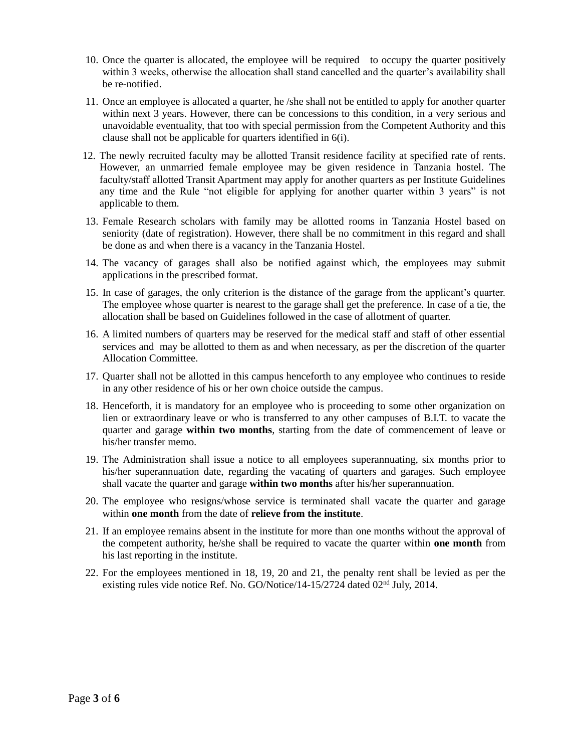- 10. Once the quarter is allocated, the employee will be required to occupy the quarter positively within 3 weeks, otherwise the allocation shall stand cancelled and the quarter's availability shall be re-notified.
- 11. Once an employee is allocated a quarter, he /she shall not be entitled to apply for another quarter within next 3 years. However, there can be concessions to this condition, in a very serious and unavoidable eventuality, that too with special permission from the Competent Authority and this clause shall not be applicable for quarters identified in 6(i).
- 12. The newly recruited faculty may be allotted Transit residence facility at specified rate of rents. However, an unmarried female employee may be given residence in Tanzania hostel. The faculty/staff allotted Transit Apartment may apply for another quarters as per Institute Guidelines any time and the Rule "not eligible for applying for another quarter within 3 years" is not applicable to them.
- 13. Female Research scholars with family may be allotted rooms in Tanzania Hostel based on seniority (date of registration). However, there shall be no commitment in this regard and shall be done as and when there is a vacancy in the Tanzania Hostel.
- 14. The vacancy of garages shall also be notified against which, the employees may submit applications in the prescribed format.
- 15. In case of garages, the only criterion is the distance of the garage from the applicant's quarter. The employee whose quarter is nearest to the garage shall get the preference. In case of a tie, the allocation shall be based on Guidelines followed in the case of allotment of quarter.
- 16. A limited numbers of quarters may be reserved for the medical staff and staff of other essential services and may be allotted to them as and when necessary, as per the discretion of the quarter Allocation Committee.
- 17. Quarter shall not be allotted in this campus henceforth to any employee who continues to reside in any other residence of his or her own choice outside the campus.
- 18. Henceforth, it is mandatory for an employee who is proceeding to some other organization on lien or extraordinary leave or who is transferred to any other campuses of B.I.T. to vacate the quarter and garage **within two months**, starting from the date of commencement of leave or his/her transfer memo.
- 19. The Administration shall issue a notice to all employees superannuating, six months prior to his/her superannuation date, regarding the vacating of quarters and garages. Such employee shall vacate the quarter and garage **within two months** after his/her superannuation.
- 20. The employee who resigns/whose service is terminated shall vacate the quarter and garage within **one month** from the date of **relieve from the institute**.
- 21. If an employee remains absent in the institute for more than one months without the approval of the competent authority, he/she shall be required to vacate the quarter within **one month** from his last reporting in the institute.
- 22. For the employees mentioned in 18, 19, 20 and 21, the penalty rent shall be levied as per the existing rules vide notice Ref. No. GO/Notice/14-15/2724 dated 02nd July, 2014.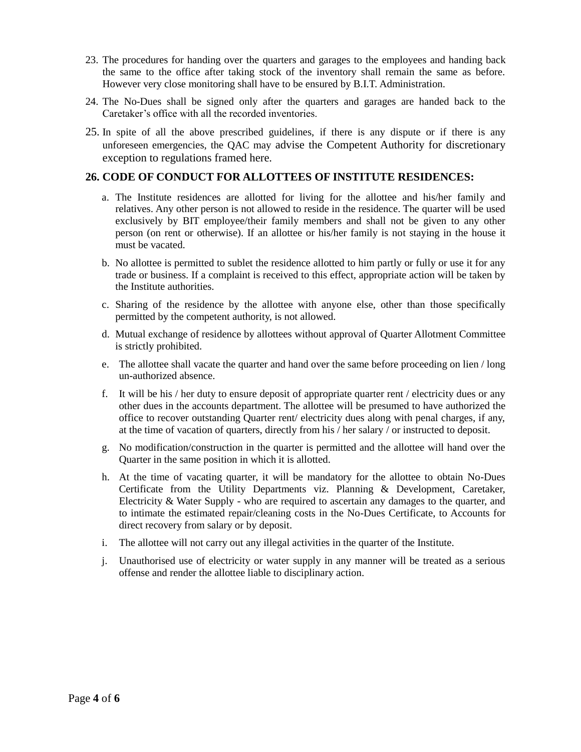- 23. The procedures for handing over the quarters and garages to the employees and handing back the same to the office after taking stock of the inventory shall remain the same as before. However very close monitoring shall have to be ensured by B.I.T. Administration.
- 24. The No-Dues shall be signed only after the quarters and garages are handed back to the Caretaker's office with all the recorded inventories.
- 25. In spite of all the above prescribed guidelines, if there is any dispute or if there is any unforeseen emergencies, the QAC may advise the Competent Authority for discretionary exception to regulations framed here.

## **26. CODE OF CONDUCT FOR ALLOTTEES OF INSTITUTE RESIDENCES:**

- a. The Institute residences are allotted for living for the allottee and his/her family and relatives. Any other person is not allowed to reside in the residence. The quarter will be used exclusively by BIT employee/their family members and shall not be given to any other person (on rent or otherwise). If an allottee or his/her family is not staying in the house it must be vacated.
- b. No allottee is permitted to sublet the residence allotted to him partly or fully or use it for any trade or business. If a complaint is received to this effect, appropriate action will be taken by the Institute authorities.
- c. Sharing of the residence by the allottee with anyone else, other than those specifically permitted by the competent authority, is not allowed.
- d. Mutual exchange of residence by allottees without approval of Quarter Allotment Committee is strictly prohibited.
- e. The allottee shall vacate the quarter and hand over the same before proceeding on lien / long un-authorized absence.
- f. It will be his / her duty to ensure deposit of appropriate quarter rent / electricity dues or any other dues in the accounts department. The allottee will be presumed to have authorized the office to recover outstanding Quarter rent/ electricity dues along with penal charges, if any, at the time of vacation of quarters, directly from his / her salary / or instructed to deposit.
- g. No modification/construction in the quarter is permitted and the allottee will hand over the Quarter in the same position in which it is allotted.
- h. At the time of vacating quarter, it will be mandatory for the allottee to obtain No-Dues Certificate from the Utility Departments viz. Planning & Development, Caretaker, Electricity & Water Supply - who are required to ascertain any damages to the quarter, and to intimate the estimated repair/cleaning costs in the No-Dues Certificate, to Accounts for direct recovery from salary or by deposit.
- i. The allottee will not carry out any illegal activities in the quarter of the Institute.
- j. Unauthorised use of electricity or water supply in any manner will be treated as a serious offense and render the allottee liable to disciplinary action.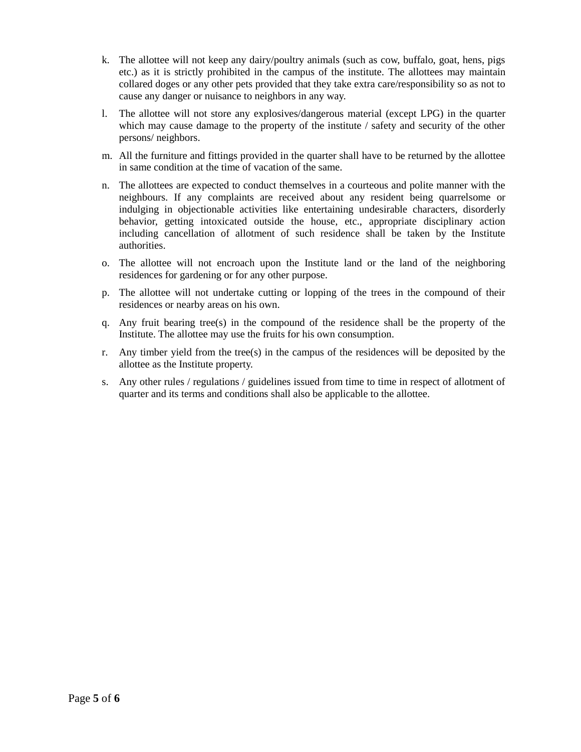- k. The allottee will not keep any dairy/poultry animals (such as cow, buffalo, goat, hens, pigs etc.) as it is strictly prohibited in the campus of the institute. The allottees may maintain collared doges or any other pets provided that they take extra care/responsibility so as not to cause any danger or nuisance to neighbors in any way.
- l. The allottee will not store any explosives/dangerous material (except LPG) in the quarter which may cause damage to the property of the institute / safety and security of the other persons/ neighbors.
- m. All the furniture and fittings provided in the quarter shall have to be returned by the allottee in same condition at the time of vacation of the same.
- n. The allottees are expected to conduct themselves in a courteous and polite manner with the neighbours. If any complaints are received about any resident being quarrelsome or indulging in objectionable activities like entertaining undesirable characters, disorderly behavior, getting intoxicated outside the house, etc., appropriate disciplinary action including cancellation of allotment of such residence shall be taken by the Institute authorities.
- o. The allottee will not encroach upon the Institute land or the land of the neighboring residences for gardening or for any other purpose.
- p. The allottee will not undertake cutting or lopping of the trees in the compound of their residences or nearby areas on his own.
- q. Any fruit bearing tree(s) in the compound of the residence shall be the property of the Institute. The allottee may use the fruits for his own consumption.
- r. Any timber yield from the tree(s) in the campus of the residences will be deposited by the allottee as the Institute property.
- s. Any other rules / regulations / guidelines issued from time to time in respect of allotment of quarter and its terms and conditions shall also be applicable to the allottee.